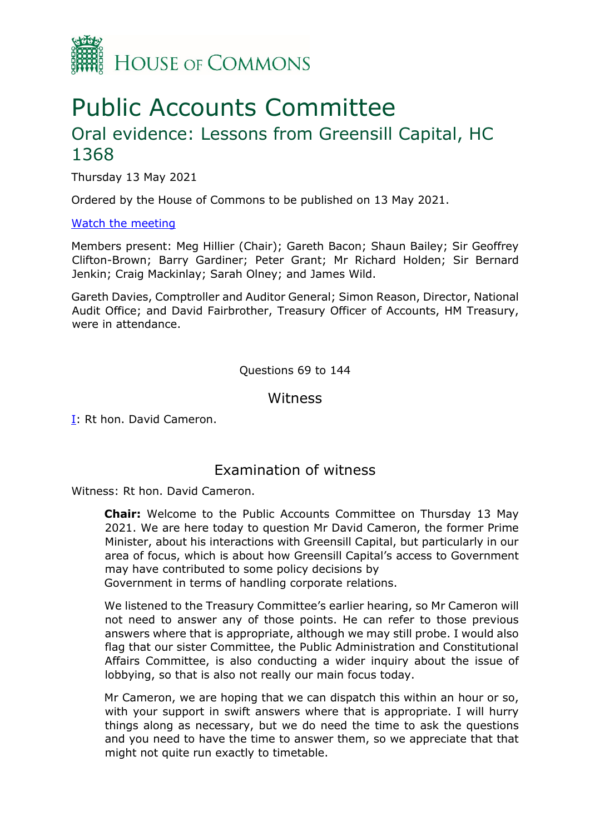

# Public Accounts Committee Oral evidence: Lessons from Greensill Capital, HC 1368

Thursday 13 May 2021

Ordered by the House of Commons to be published on 13 May 2021.

#### [Watch the meeting](https://parliamentlive.tv/Event/Index/a27431e6-b66c-4569-85ac-d332f1e62c8a)

Members present: Meg Hillier (Chair); Gareth Bacon; Shaun Bailey; Sir Geoffrey Clifton-Brown; Barry Gardiner; Peter Grant; Mr Richard Holden; Sir Bernard Jenkin; Craig Mackinlay; Sarah Olney; and James Wild.

Gareth Davies, Comptroller and Auditor General; Simon Reason, Director, National Audit Office; and David Fairbrother, Treasury Officer of Accounts, HM Treasury, were in attendance.

Questions 69 to 144

**Witness** 

I: Rt hon. David Cameron.

### Examination of witness

Witness: Rt hon. David Cameron.

**Chair:** Welcome to the Public Accounts Committee on Thursday 13 May 2021. We are here today to question Mr David Cameron, the former Prime Minister, about his interactions with Greensill Capital, but particularly in our area of focus, which is about how Greensill Capital's access to Government may have contributed to some policy decisions by

Government in terms of handling corporate relations.

We listened to the Treasury Committee's earlier hearing, so Mr Cameron will not need to answer any of those points. He can refer to those previous answers where that is appropriate, although we may still probe. I would also flag that our sister Committee, the Public Administration and Constitutional Affairs Committee, is also conducting a wider inquiry about the issue of lobbying, so that is also not really our main focus today.

Mr Cameron, we are hoping that we can dispatch this within an hour or so, with your support in swift answers where that is appropriate. I will hurry things along as necessary, but we do need the time to ask the questions and you need to have the time to answer them, so we appreciate that that might not quite run exactly to timetable.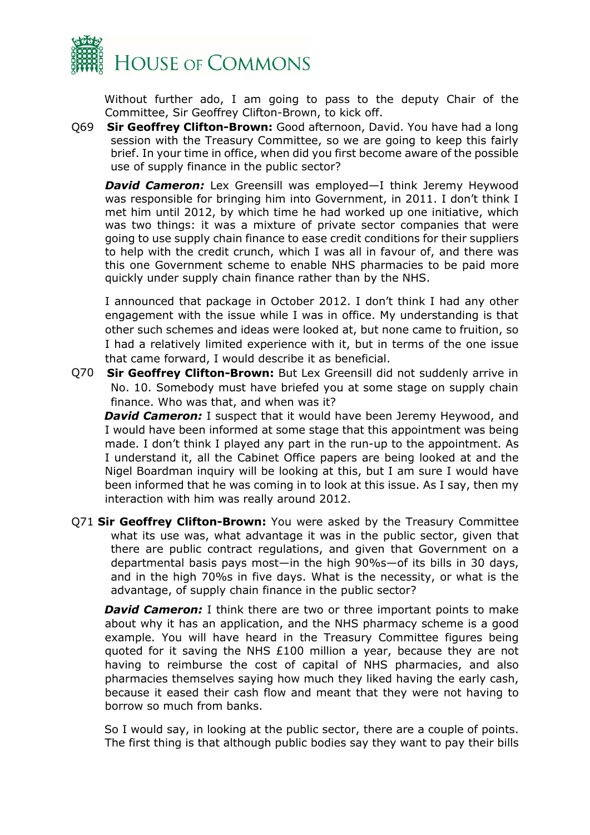

Without further ado, I am going to pass to the deputy Chair of the Committee, Sir Geoffrey Clifton-Brown, to kick off.

Q69 **Sir Geoffrey Clifton-Brown:** Good afternoon, David. You have had a long session with the Treasury Committee, so we are going to keep this fairly brief. In your time in office, when did you first become aware of the possible use of supply finance in the public sector?

**David Cameron:** Lex Greensill was employed—I think Jeremy Heywood was responsible for bringing him into Government, in 2011. I don't think I met him until 2012, by which time he had worked up one initiative, which was two things: it was a mixture of private sector companies that were going to use supply chain finance to ease credit conditions for their suppliers to help with the credit crunch, which I was all in favour of, and there was this one Government scheme to enable NHS pharmacies to be paid more quickly under supply chain finance rather than by the NHS.

I announced that package in October 2012. I don't think I had any other engagement with the issue while I was in office. My understanding is that other such schemes and ideas were looked at, but none came to fruition, so I had a relatively limited experience with it, but in terms of the one issue that came forward, I would describe it as beneficial.

Q70 **Sir Geoffrey Clifton-Brown:** But Lex Greensill did not suddenly arrive in No. 10. Somebody must have briefed you at some stage on supply chain finance. Who was that, and when was it?

**David Cameron:** I suspect that it would have been Jeremy Heywood, and I would have been informed at some stage that this appointment was being made. I don't think I played any part in the run-up to the appointment. As I understand it, all the Cabinet Office papers are being looked at and the Nigel Boardman inquiry will be looking at this, but I am sure I would have been informed that he was coming in to look at this issue. As I say, then my interaction with him was really around 2012.

Q71 **Sir Geoffrey Clifton-Brown:** You were asked by the Treasury Committee what its use was, what advantage it was in the public sector, given that there are public contract regulations, and given that Government on a departmental basis pays most—in the high 90%s—of its bills in 30 days, and in the high 70%s in five days. What is the necessity, or what is the advantage, of supply chain finance in the public sector?

**David Cameron:** I think there are two or three important points to make about why it has an application, and the NHS pharmacy scheme is a good example. You will have heard in the Treasury Committee figures being quoted for it saving the NHS £100 million a year, because they are not having to reimburse the cost of capital of NHS pharmacies, and also pharmacies themselves saying how much they liked having the early cash, because it eased their cash flow and meant that they were not having to borrow so much from banks.

So I would say, in looking at the public sector, there are a couple of points. The first thing is that although public bodies say they want to pay their bills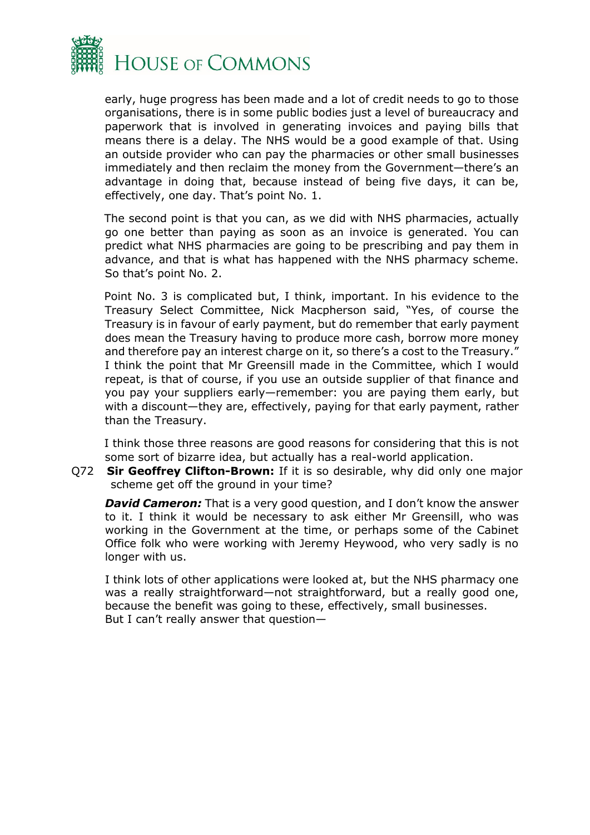

early, huge progress has been made and a lot of credit needs to go to those organisations, there is in some public bodies just a level of bureaucracy and paperwork that is involved in generating invoices and paying bills that means there is a delay. The NHS would be a good example of that. Using an outside provider who can pay the pharmacies or other small businesses immediately and then reclaim the money from the Government—there's an advantage in doing that, because instead of being five days, it can be, effectively, one day. That's point No. 1.

The second point is that you can, as we did with NHS pharmacies, actually go one better than paying as soon as an invoice is generated. You can predict what NHS pharmacies are going to be prescribing and pay them in advance, and that is what has happened with the NHS pharmacy scheme. So that's point No. 2.

Point No. 3 is complicated but, I think, important. In his evidence to the Treasury Select Committee, Nick Macpherson said, "Yes, of course the Treasury is in favour of early payment, but do remember that early payment does mean the Treasury having to produce more cash, borrow more money and therefore pay an interest charge on it, so there's a cost to the Treasury." I think the point that Mr Greensill made in the Committee, which I would repeat, is that of course, if you use an outside supplier of that finance and you pay your suppliers early—remember: you are paying them early, but with a discount—they are, effectively, paying for that early payment, rather than the Treasury.

I think those three reasons are good reasons for considering that this is not some sort of bizarre idea, but actually has a real-world application.

Q72 **Sir Geoffrey Clifton-Brown:** If it is so desirable, why did only one major scheme get off the ground in your time?

**David Cameron:** That is a very good question, and I don't know the answer to it. I think it would be necessary to ask either Mr Greensill, who was working in the Government at the time, or perhaps some of the Cabinet Office folk who were working with Jeremy Heywood, who very sadly is no longer with us.

I think lots of other applications were looked at, but the NHS pharmacy one was a really straightforward—not straightforward, but a really good one, because the benefit was going to these, effectively, small businesses. But I can't really answer that question—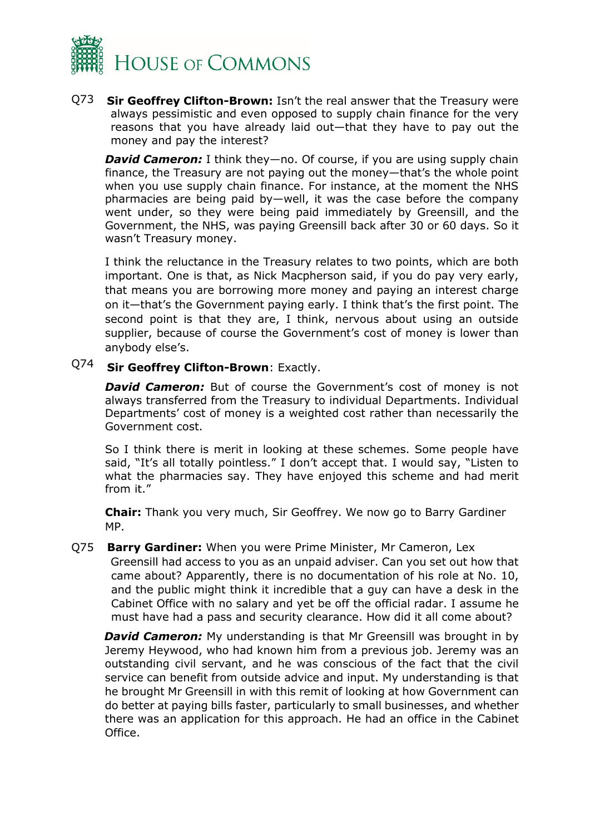

Q73 **Sir Geoffrey Clifton-Brown:** Isn't the real answer that the Treasury were always pessimistic and even opposed to supply chain finance for the very reasons that you have already laid out—that they have to pay out the money and pay the interest?

*David Cameron:* I think they—no. Of course, if you are using supply chain finance, the Treasury are not paying out the money—that's the whole point when you use supply chain finance. For instance, at the moment the NHS pharmacies are being paid by—well, it was the case before the company went under, so they were being paid immediately by Greensill, and the Government, the NHS, was paying Greensill back after 30 or 60 days. So it wasn't Treasury money.

I think the reluctance in the Treasury relates to two points, which are both important. One is that, as Nick Macpherson said, if you do pay very early, that means you are borrowing more money and paying an interest charge on it—that's the Government paying early. I think that's the first point. The second point is that they are, I think, nervous about using an outside supplier, because of course the Government's cost of money is lower than anybody else's.

## Q74 **Sir Geoffrey Clifton-Brown**: Exactly.

Office.

**David Cameron:** But of course the Government's cost of money is not always transferred from the Treasury to individual Departments. Individual Departments' cost of money is a weighted cost rather than necessarily the Government cost.

So I think there is merit in looking at these schemes. Some people have said, "It's all totally pointless." I don't accept that. I would say, "Listen to what the pharmacies say. They have enjoyed this scheme and had merit from it."

**Chair:** Thank you very much, Sir Geoffrey. We now go to Barry Gardiner MP.

Q75 **Barry Gardiner:** When you were Prime Minister, Mr Cameron, Lex Greensill had access to you as an unpaid adviser. Can you set out how that came about? Apparently, there is no documentation of his role at No. 10, and the public might think it incredible that a guy can have a desk in the

Cabinet Office with no salary and yet be off the official radar. I assume he must have had a pass and security clearance. How did it all come about? *David Cameron:* My understanding is that Mr Greensill was brought in by Jeremy Heywood, who had known him from a previous job. Jeremy was an outstanding civil servant, and he was conscious of the fact that the civil service can benefit from outside advice and input. My understanding is that he brought Mr Greensill in with this remit of looking at how Government can do better at paying bills faster, particularly to small businesses, and whether

there was an application for this approach. He had an office in the Cabinet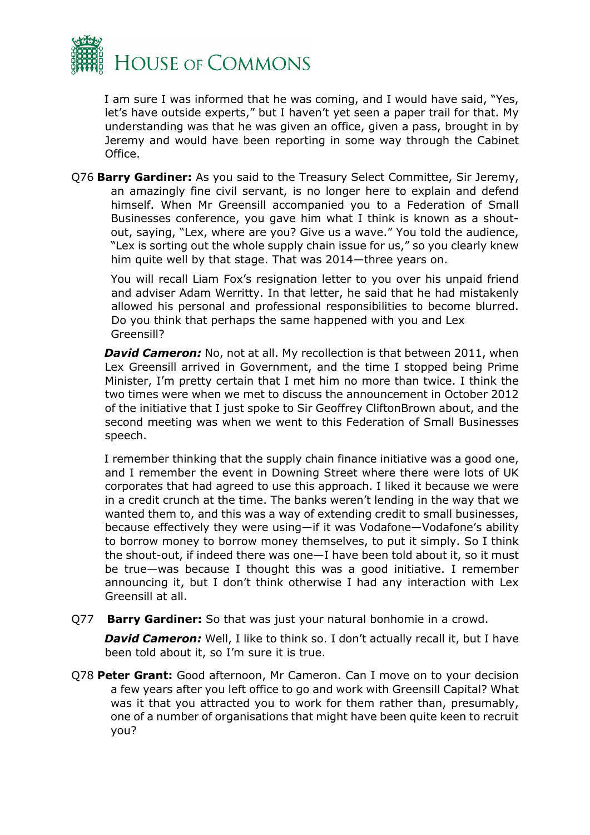

I am sure I was informed that he was coming, and I would have said, "Yes, let's have outside experts," but I haven't yet seen a paper trail for that. My understanding was that he was given an office, given a pass, brought in by Jeremy and would have been reporting in some way through the Cabinet Office.

Q76 **Barry Gardiner:** As you said to the Treasury Select Committee, Sir Jeremy, an amazingly fine civil servant, is no longer here to explain and defend himself. When Mr Greensill accompanied you to a Federation of Small Businesses conference, you gave him what I think is known as a shoutout, saying, "Lex, where are you? Give us a wave." You told the audience, "Lex is sorting out the whole supply chain issue for us," so you clearly knew him quite well by that stage. That was 2014—three years on.

You will recall Liam Fox's resignation letter to you over his unpaid friend and adviser Adam Werritty. In that letter, he said that he had mistakenly allowed his personal and professional responsibilities to become blurred. Do you think that perhaps the same happened with you and Lex Greensill?

*David Cameron:* No, not at all. My recollection is that between 2011, when Lex Greensill arrived in Government, and the time I stopped being Prime Minister, I'm pretty certain that I met him no more than twice. I think the two times were when we met to discuss the announcement in October 2012 of the initiative that I just spoke to Sir Geoffrey CliftonBrown about, and the second meeting was when we went to this Federation of Small Businesses speech.

I remember thinking that the supply chain finance initiative was a good one, and I remember the event in Downing Street where there were lots of UK corporates that had agreed to use this approach. I liked it because we were in a credit crunch at the time. The banks weren't lending in the way that we wanted them to, and this was a way of extending credit to small businesses, because effectively they were using—if it was Vodafone—Vodafone's ability to borrow money to borrow money themselves, to put it simply. So I think the shout-out, if indeed there was one—I have been told about it, so it must be true—was because I thought this was a good initiative. I remember announcing it, but I don't think otherwise I had any interaction with Lex Greensill at all.

Q77 **Barry Gardiner:** So that was just your natural bonhomie in a crowd.

**David Cameron:** Well, I like to think so. I don't actually recall it, but I have been told about it, so I'm sure it is true.

Q78 **Peter Grant:** Good afternoon, Mr Cameron. Can I move on to your decision a few years after you left office to go and work with Greensill Capital? What was it that you attracted you to work for them rather than, presumably, one of a number of organisations that might have been quite keen to recruit you?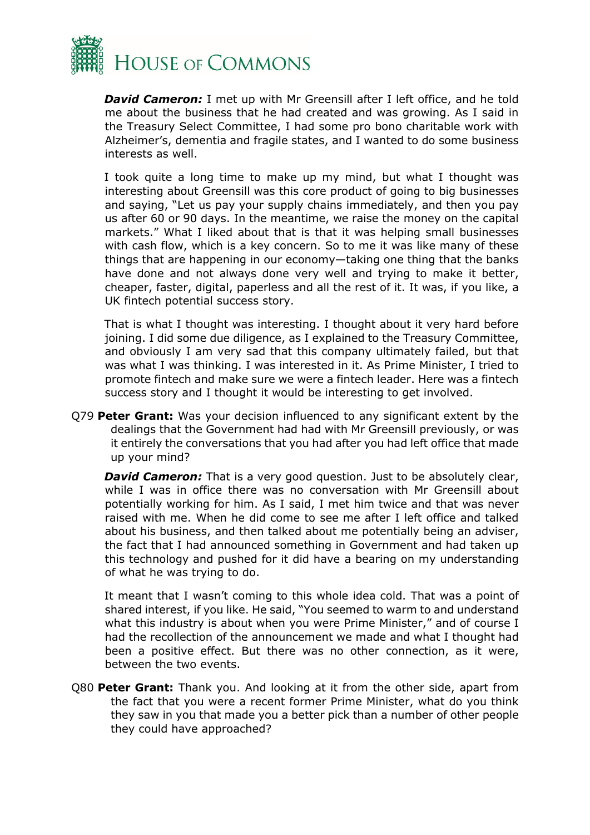

*David Cameron:* I met up with Mr Greensill after I left office, and he told me about the business that he had created and was growing. As I said in the Treasury Select Committee, I had some pro bono charitable work with Alzheimer's, dementia and fragile states, and I wanted to do some business interests as well.

I took quite a long time to make up my mind, but what I thought was interesting about Greensill was this core product of going to big businesses and saying, "Let us pay your supply chains immediately, and then you pay us after 60 or 90 days. In the meantime, we raise the money on the capital markets." What I liked about that is that it was helping small businesses with cash flow, which is a key concern. So to me it was like many of these things that are happening in our economy—taking one thing that the banks have done and not always done very well and trying to make it better, cheaper, faster, digital, paperless and all the rest of it. It was, if you like, a UK fintech potential success story.

That is what I thought was interesting. I thought about it very hard before joining. I did some due diligence, as I explained to the Treasury Committee, and obviously I am very sad that this company ultimately failed, but that was what I was thinking. I was interested in it. As Prime Minister, I tried to promote fintech and make sure we were a fintech leader. Here was a fintech success story and I thought it would be interesting to get involved.

Q79 **Peter Grant:** Was your decision influenced to any significant extent by the dealings that the Government had had with Mr Greensill previously, or was it entirely the conversations that you had after you had left office that made up your mind?

**David Cameron:** That is a very good question. Just to be absolutely clear, while I was in office there was no conversation with Mr Greensill about potentially working for him. As I said, I met him twice and that was never raised with me. When he did come to see me after I left office and talked about his business, and then talked about me potentially being an adviser, the fact that I had announced something in Government and had taken up this technology and pushed for it did have a bearing on my understanding of what he was trying to do.

It meant that I wasn't coming to this whole idea cold. That was a point of shared interest, if you like. He said, "You seemed to warm to and understand what this industry is about when you were Prime Minister," and of course I had the recollection of the announcement we made and what I thought had been a positive effect. But there was no other connection, as it were, between the two events.

Q80 **Peter Grant:** Thank you. And looking at it from the other side, apart from the fact that you were a recent former Prime Minister, what do you think they saw in you that made you a better pick than a number of other people they could have approached?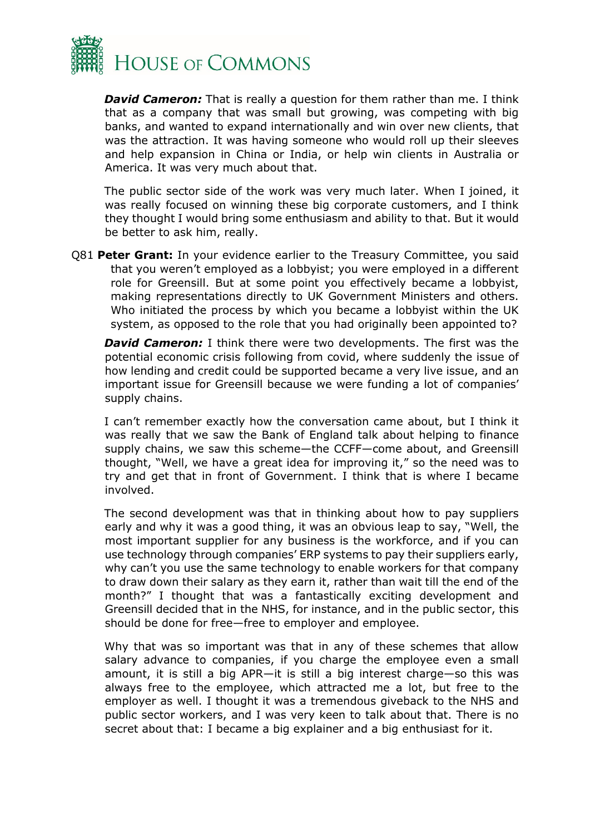

*David Cameron:* That is really a question for them rather than me. I think that as a company that was small but growing, was competing with big banks, and wanted to expand internationally and win over new clients, that was the attraction. It was having someone who would roll up their sleeves and help expansion in China or India, or help win clients in Australia or America. It was very much about that.

The public sector side of the work was very much later. When I joined, it was really focused on winning these big corporate customers, and I think they thought I would bring some enthusiasm and ability to that. But it would be better to ask him, really.

Q81 **Peter Grant:** In your evidence earlier to the Treasury Committee, you said that you weren't employed as a lobbyist; you were employed in a different role for Greensill. But at some point you effectively became a lobbyist, making representations directly to UK Government Ministers and others. Who initiated the process by which you became a lobbyist within the UK system, as opposed to the role that you had originally been appointed to?

**David Cameron:** I think there were two developments. The first was the potential economic crisis following from covid, where suddenly the issue of how lending and credit could be supported became a very live issue, and an important issue for Greensill because we were funding a lot of companies' supply chains.

I can't remember exactly how the conversation came about, but I think it was really that we saw the Bank of England talk about helping to finance supply chains, we saw this scheme—the CCFF—come about, and Greensill thought, "Well, we have a great idea for improving it," so the need was to try and get that in front of Government. I think that is where I became involved.

The second development was that in thinking about how to pay suppliers early and why it was a good thing, it was an obvious leap to say, "Well, the most important supplier for any business is the workforce, and if you can use technology through companies' ERP systems to pay their suppliers early, why can't you use the same technology to enable workers for that company to draw down their salary as they earn it, rather than wait till the end of the month?" I thought that was a fantastically exciting development and Greensill decided that in the NHS, for instance, and in the public sector, this should be done for free—free to employer and employee.

Why that was so important was that in any of these schemes that allow salary advance to companies, if you charge the employee even a small amount, it is still a big APR—it is still a big interest charge—so this was always free to the employee, which attracted me a lot, but free to the employer as well. I thought it was a tremendous giveback to the NHS and public sector workers, and I was very keen to talk about that. There is no secret about that: I became a big explainer and a big enthusiast for it.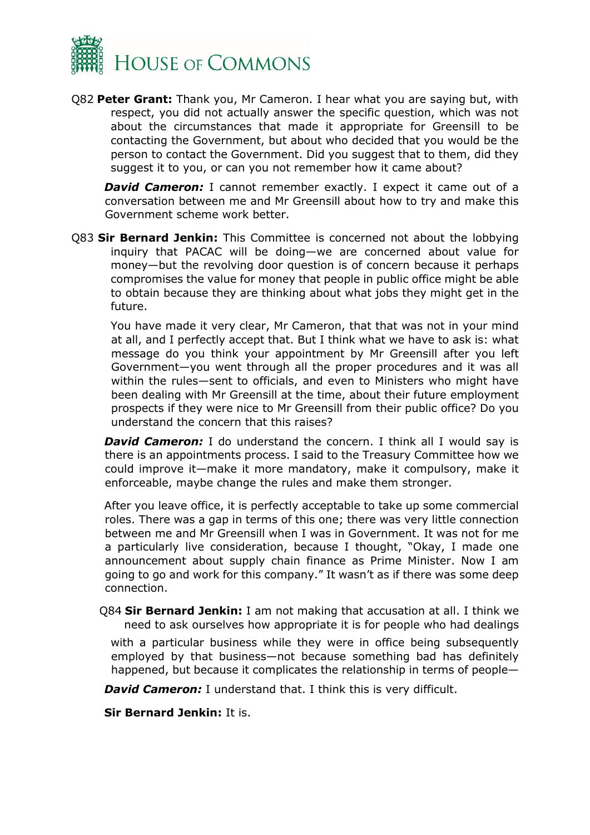

Q82 **Peter Grant:** Thank you, Mr Cameron. I hear what you are saying but, with respect, you did not actually answer the specific question, which was not about the circumstances that made it appropriate for Greensill to be contacting the Government, but about who decided that you would be the person to contact the Government. Did you suggest that to them, did they suggest it to you, or can you not remember how it came about?

**David Cameron:** I cannot remember exactly. I expect it came out of a conversation between me and Mr Greensill about how to try and make this Government scheme work better.

Q83 **Sir Bernard Jenkin:** This Committee is concerned not about the lobbying inquiry that PACAC will be doing—we are concerned about value for money—but the revolving door question is of concern because it perhaps compromises the value for money that people in public office might be able to obtain because they are thinking about what jobs they might get in the future.

You have made it very clear, Mr Cameron, that that was not in your mind at all, and I perfectly accept that. But I think what we have to ask is: what message do you think your appointment by Mr Greensill after you left Government—you went through all the proper procedures and it was all within the rules—sent to officials, and even to Ministers who might have been dealing with Mr Greensill at the time, about their future employment prospects if they were nice to Mr Greensill from their public office? Do you understand the concern that this raises?

**David Cameron:** I do understand the concern. I think all I would say is there is an appointments process. I said to the Treasury Committee how we could improve it—make it more mandatory, make it compulsory, make it enforceable, maybe change the rules and make them stronger.

After you leave office, it is perfectly acceptable to take up some commercial roles. There was a gap in terms of this one; there was very little connection between me and Mr Greensill when I was in Government. It was not for me a particularly live consideration, because I thought, "Okay, I made one announcement about supply chain finance as Prime Minister. Now I am going to go and work for this company." It wasn't as if there was some deep connection.

Q84 **Sir Bernard Jenkin:** I am not making that accusation at all. I think we need to ask ourselves how appropriate it is for people who had dealings

with a particular business while they were in office being subsequently employed by that business—not because something bad has definitely happened, but because it complicates the relationship in terms of people—

**David Cameron:** I understand that. I think this is very difficult.

**Sir Bernard Jenkin:** It is.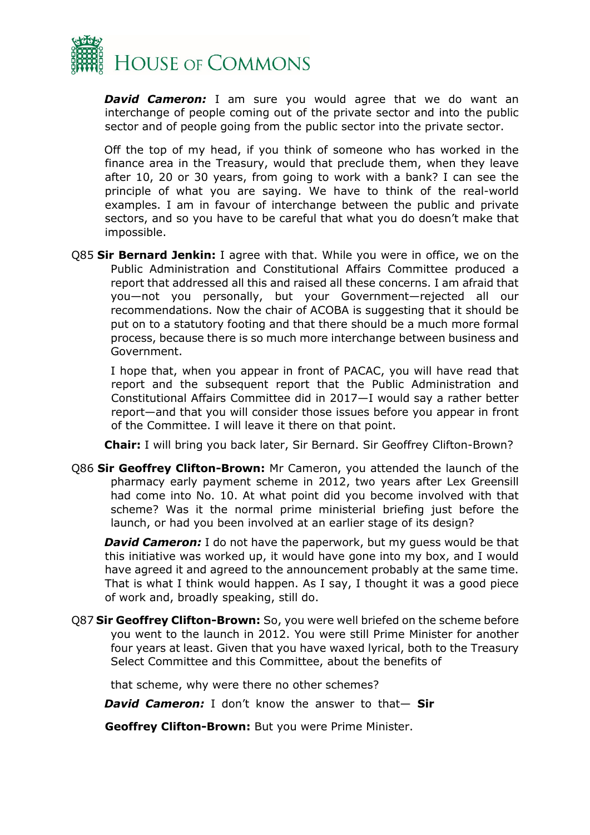

**David Cameron:** I am sure you would agree that we do want an interchange of people coming out of the private sector and into the public sector and of people going from the public sector into the private sector.

Off the top of my head, if you think of someone who has worked in the finance area in the Treasury, would that preclude them, when they leave after 10, 20 or 30 years, from going to work with a bank? I can see the principle of what you are saying. We have to think of the real-world examples. I am in favour of interchange between the public and private sectors, and so you have to be careful that what you do doesn't make that impossible.

Q85 **Sir Bernard Jenkin:** I agree with that. While you were in office, we on the Public Administration and Constitutional Affairs Committee produced a report that addressed all this and raised all these concerns. I am afraid that you—not you personally, but your Government—rejected all our recommendations. Now the chair of ACOBA is suggesting that it should be put on to a statutory footing and that there should be a much more formal process, because there is so much more interchange between business and Government.

I hope that, when you appear in front of PACAC, you will have read that report and the subsequent report that the Public Administration and Constitutional Affairs Committee did in 2017—I would say a rather better report—and that you will consider those issues before you appear in front of the Committee. I will leave it there on that point.

**Chair:** I will bring you back later, Sir Bernard. Sir Geoffrey Clifton-Brown?

Q86 **Sir Geoffrey Clifton-Brown:** Mr Cameron, you attended the launch of the pharmacy early payment scheme in 2012, two years after Lex Greensill had come into No. 10. At what point did you become involved with that scheme? Was it the normal prime ministerial briefing just before the launch, or had you been involved at an earlier stage of its design?

**David Cameron:** I do not have the paperwork, but my quess would be that this initiative was worked up, it would have gone into my box, and I would have agreed it and agreed to the announcement probably at the same time. That is what I think would happen. As I say, I thought it was a good piece of work and, broadly speaking, still do.

Q87 **Sir Geoffrey Clifton-Brown:** So, you were well briefed on the scheme before you went to the launch in 2012. You were still Prime Minister for another four years at least. Given that you have waxed lyrical, both to the Treasury Select Committee and this Committee, about the benefits of

that scheme, why were there no other schemes?

*David Cameron:* I don't know the answer to that— **Sir** 

**Geoffrey Clifton-Brown:** But you were Prime Minister.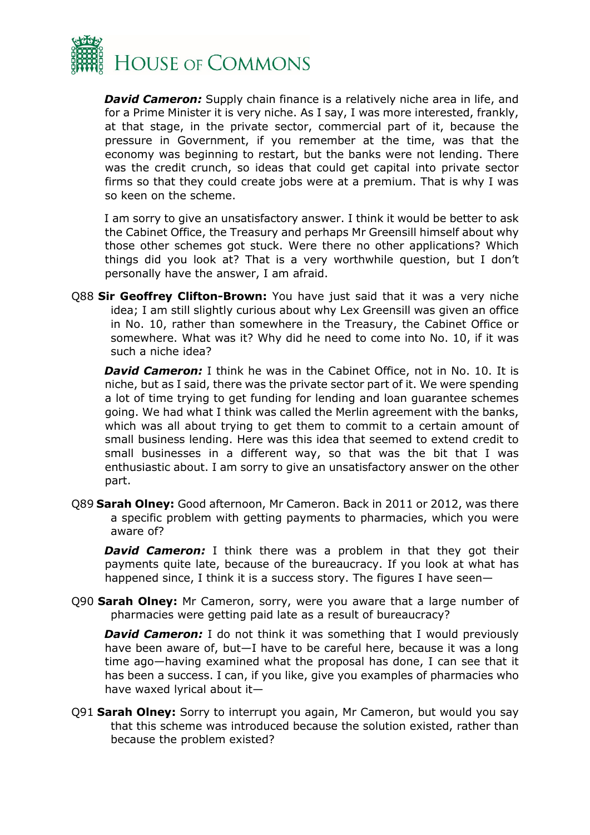

**David Cameron:** Supply chain finance is a relatively niche area in life, and for a Prime Minister it is very niche. As I say, I was more interested, frankly, at that stage, in the private sector, commercial part of it, because the pressure in Government, if you remember at the time, was that the economy was beginning to restart, but the banks were not lending. There was the credit crunch, so ideas that could get capital into private sector firms so that they could create jobs were at a premium. That is why I was so keen on the scheme.

I am sorry to give an unsatisfactory answer. I think it would be better to ask the Cabinet Office, the Treasury and perhaps Mr Greensill himself about why those other schemes got stuck. Were there no other applications? Which things did you look at? That is a very worthwhile question, but I don't personally have the answer, I am afraid.

Q88 **Sir Geoffrey Clifton-Brown:** You have just said that it was a very niche idea; I am still slightly curious about why Lex Greensill was given an office in No. 10, rather than somewhere in the Treasury, the Cabinet Office or somewhere. What was it? Why did he need to come into No. 10, if it was such a niche idea?

*David Cameron:* I think he was in the Cabinet Office, not in No. 10. It is niche, but as I said, there was the private sector part of it. We were spending a lot of time trying to get funding for lending and loan guarantee schemes going. We had what I think was called the Merlin agreement with the banks, which was all about trying to get them to commit to a certain amount of small business lending. Here was this idea that seemed to extend credit to small businesses in a different way, so that was the bit that I was enthusiastic about. I am sorry to give an unsatisfactory answer on the other part.

Q89 **Sarah Olney:** Good afternoon, Mr Cameron. Back in 2011 or 2012, was there a specific problem with getting payments to pharmacies, which you were aware of?

**David Cameron:** I think there was a problem in that they got their payments quite late, because of the bureaucracy. If you look at what has happened since, I think it is a success story. The figures I have seen—

Q90 **Sarah Olney:** Mr Cameron, sorry, were you aware that a large number of pharmacies were getting paid late as a result of bureaucracy?

**David Cameron:** I do not think it was something that I would previously have been aware of, but—I have to be careful here, because it was a long time ago—having examined what the proposal has done, I can see that it has been a success. I can, if you like, give you examples of pharmacies who have waxed lyrical about it—

Q91 **Sarah Olney:** Sorry to interrupt you again, Mr Cameron, but would you say that this scheme was introduced because the solution existed, rather than because the problem existed?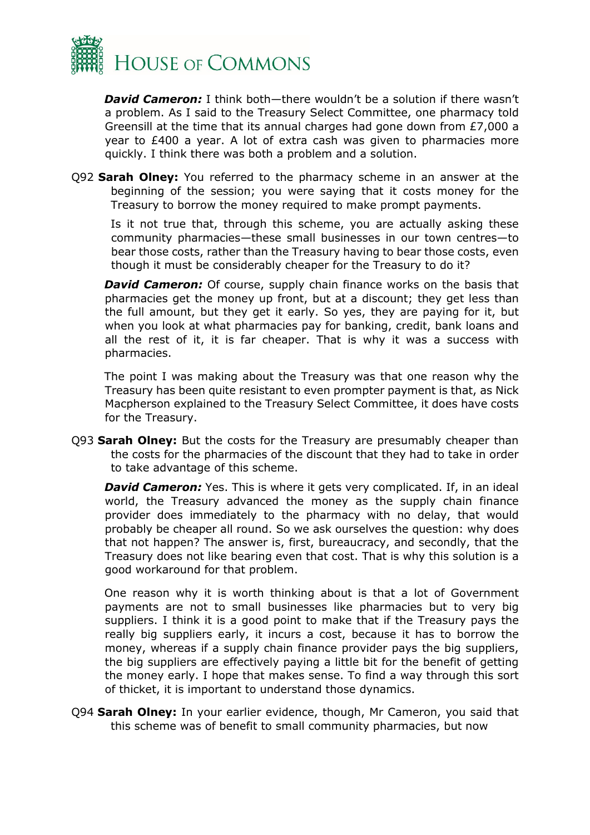

*David Cameron:* I think both—there wouldn't be a solution if there wasn't a problem. As I said to the Treasury Select Committee, one pharmacy told Greensill at the time that its annual charges had gone down from £7,000 a year to £400 a year. A lot of extra cash was given to pharmacies more quickly. I think there was both a problem and a solution.

Q92 **Sarah Olney:** You referred to the pharmacy scheme in an answer at the beginning of the session; you were saying that it costs money for the Treasury to borrow the money required to make prompt payments.

Is it not true that, through this scheme, you are actually asking these community pharmacies—these small businesses in our town centres—to bear those costs, rather than the Treasury having to bear those costs, even though it must be considerably cheaper for the Treasury to do it?

**David Cameron:** Of course, supply chain finance works on the basis that pharmacies get the money up front, but at a discount; they get less than the full amount, but they get it early. So yes, they are paying for it, but when you look at what pharmacies pay for banking, credit, bank loans and all the rest of it, it is far cheaper. That is why it was a success with pharmacies.

The point I was making about the Treasury was that one reason why the Treasury has been quite resistant to even prompter payment is that, as Nick Macpherson explained to the Treasury Select Committee, it does have costs for the Treasury.

Q93 **Sarah Olney:** But the costs for the Treasury are presumably cheaper than the costs for the pharmacies of the discount that they had to take in order to take advantage of this scheme.

**David Cameron:** Yes. This is where it gets very complicated. If, in an ideal world, the Treasury advanced the money as the supply chain finance provider does immediately to the pharmacy with no delay, that would probably be cheaper all round. So we ask ourselves the question: why does that not happen? The answer is, first, bureaucracy, and secondly, that the Treasury does not like bearing even that cost. That is why this solution is a good workaround for that problem.

One reason why it is worth thinking about is that a lot of Government payments are not to small businesses like pharmacies but to very big suppliers. I think it is a good point to make that if the Treasury pays the really big suppliers early, it incurs a cost, because it has to borrow the money, whereas if a supply chain finance provider pays the big suppliers, the big suppliers are effectively paying a little bit for the benefit of getting the money early. I hope that makes sense. To find a way through this sort of thicket, it is important to understand those dynamics.

Q94 **Sarah Olney:** In your earlier evidence, though, Mr Cameron, you said that this scheme was of benefit to small community pharmacies, but now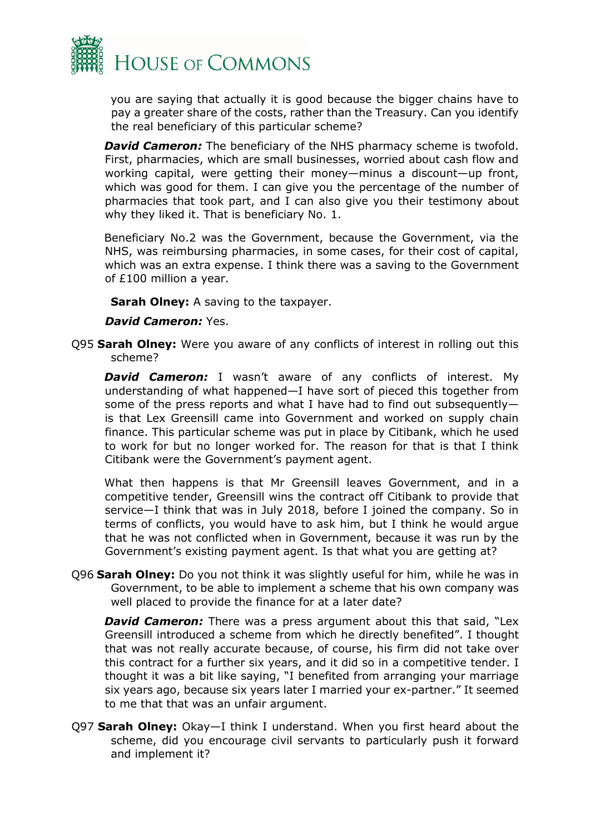

you are saying that actually it is good because the bigger chains have to pay a greater share of the costs, rather than the Treasury. Can you identify the real beneficiary of this particular scheme?

**David Cameron:** The beneficiary of the NHS pharmacy scheme is twofold. First, pharmacies, which are small businesses, worried about cash flow and working capital, were getting their money—minus a discount—up front, which was good for them. I can give you the percentage of the number of pharmacies that took part, and I can also give you their testimony about why they liked it. That is beneficiary No. 1.

Beneficiary No.2 was the Government, because the Government, via the NHS, was reimbursing pharmacies, in some cases, for their cost of capital, which was an extra expense. I think there was a saving to the Government of £100 million a year.

**Sarah Olney:** A saving to the taxpayer.

#### *David Cameron:* Yes.

Q95 **Sarah Olney:** Were you aware of any conflicts of interest in rolling out this scheme?

**David Cameron:** I wasn't aware of any conflicts of interest. My understanding of what happened—I have sort of pieced this together from some of the press reports and what I have had to find out subsequently is that Lex Greensill came into Government and worked on supply chain finance. This particular scheme was put in place by Citibank, which he used to work for but no longer worked for. The reason for that is that I think Citibank were the Government's payment agent.

What then happens is that Mr Greensill leaves Government, and in a competitive tender, Greensill wins the contract off Citibank to provide that service—I think that was in July 2018, before I joined the company. So in terms of conflicts, you would have to ask him, but I think he would argue that he was not conflicted when in Government, because it was run by the Government's existing payment agent. Is that what you are getting at?

Q96 **Sarah Olney:** Do you not think it was slightly useful for him, while he was in Government, to be able to implement a scheme that his own company was well placed to provide the finance for at a later date?

**David Cameron:** There was a press argument about this that said, "Lex Greensill introduced a scheme from which he directly benefited". I thought that was not really accurate because, of course, his firm did not take over this contract for a further six years, and it did so in a competitive tender. I thought it was a bit like saying, "I benefited from arranging your marriage six years ago, because six years later I married your ex-partner." It seemed to me that that was an unfair argument.

Q97 **Sarah Olney:** Okay—I think I understand. When you first heard about the scheme, did you encourage civil servants to particularly push it forward and implement it?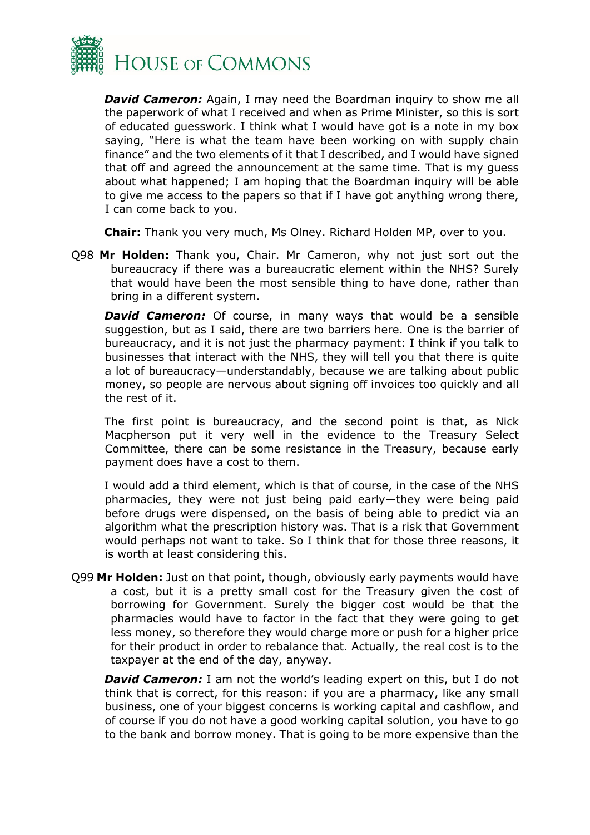

*David Cameron:* Again, I may need the Boardman inquiry to show me all the paperwork of what I received and when as Prime Minister, so this is sort of educated guesswork. I think what I would have got is a note in my box saying, "Here is what the team have been working on with supply chain finance" and the two elements of it that I described, and I would have signed that off and agreed the announcement at the same time. That is my guess about what happened; I am hoping that the Boardman inquiry will be able to give me access to the papers so that if I have got anything wrong there, I can come back to you.

**Chair:** Thank you very much, Ms Olney. Richard Holden MP, over to you.

Q98 **Mr Holden:** Thank you, Chair. Mr Cameron, why not just sort out the bureaucracy if there was a bureaucratic element within the NHS? Surely that would have been the most sensible thing to have done, rather than bring in a different system.

**David Cameron:** Of course, in many ways that would be a sensible suggestion, but as I said, there are two barriers here. One is the barrier of bureaucracy, and it is not just the pharmacy payment: I think if you talk to businesses that interact with the NHS, they will tell you that there is quite a lot of bureaucracy—understandably, because we are talking about public money, so people are nervous about signing off invoices too quickly and all the rest of it.

The first point is bureaucracy, and the second point is that, as Nick Macpherson put it very well in the evidence to the Treasury Select Committee, there can be some resistance in the Treasury, because early payment does have a cost to them.

I would add a third element, which is that of course, in the case of the NHS pharmacies, they were not just being paid early—they were being paid before drugs were dispensed, on the basis of being able to predict via an algorithm what the prescription history was. That is a risk that Government would perhaps not want to take. So I think that for those three reasons, it is worth at least considering this.

Q99 **Mr Holden:** Just on that point, though, obviously early payments would have a cost, but it is a pretty small cost for the Treasury given the cost of borrowing for Government. Surely the bigger cost would be that the pharmacies would have to factor in the fact that they were going to get less money, so therefore they would charge more or push for a higher price for their product in order to rebalance that. Actually, the real cost is to the taxpayer at the end of the day, anyway.

**David Cameron:** I am not the world's leading expert on this, but I do not think that is correct, for this reason: if you are a pharmacy, like any small business, one of your biggest concerns is working capital and cashflow, and of course if you do not have a good working capital solution, you have to go to the bank and borrow money. That is going to be more expensive than the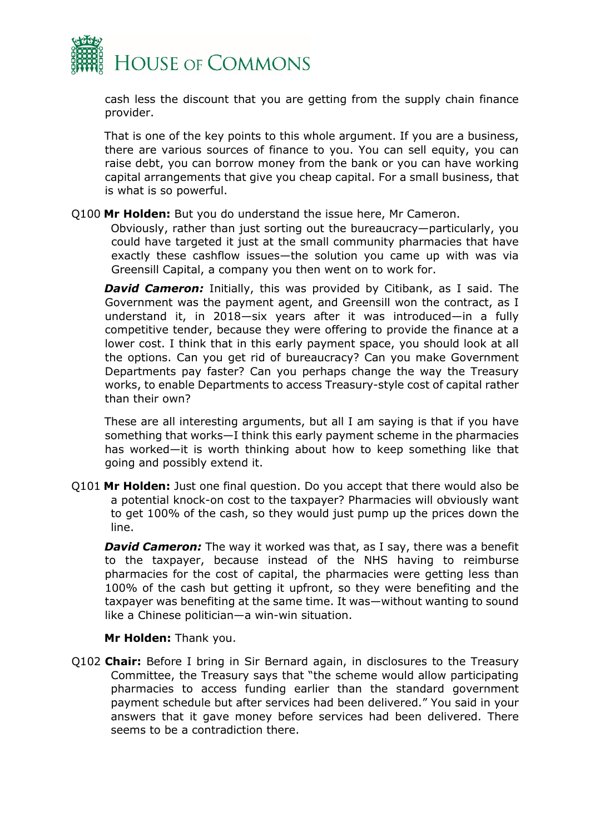

cash less the discount that you are getting from the supply chain finance provider.

That is one of the key points to this whole argument. If you are a business, there are various sources of finance to you. You can sell equity, you can raise debt, you can borrow money from the bank or you can have working capital arrangements that give you cheap capital. For a small business, that is what is so powerful.

#### Q100 **Mr Holden:** But you do understand the issue here, Mr Cameron.

Obviously, rather than just sorting out the bureaucracy—particularly, you could have targeted it just at the small community pharmacies that have exactly these cashflow issues—the solution you came up with was via Greensill Capital, a company you then went on to work for.

**David Cameron:** Initially, this was provided by Citibank, as I said. The Government was the payment agent, and Greensill won the contract, as I understand it, in 2018—six years after it was introduced—in a fully competitive tender, because they were offering to provide the finance at a lower cost. I think that in this early payment space, you should look at all the options. Can you get rid of bureaucracy? Can you make Government Departments pay faster? Can you perhaps change the way the Treasury works, to enable Departments to access Treasury-style cost of capital rather than their own?

These are all interesting arguments, but all I am saying is that if you have something that works—I think this early payment scheme in the pharmacies has worked—it is worth thinking about how to keep something like that going and possibly extend it.

Q101 **Mr Holden:** Just one final question. Do you accept that there would also be a potential knock-on cost to the taxpayer? Pharmacies will obviously want to get 100% of the cash, so they would just pump up the prices down the line.

**David Cameron:** The way it worked was that, as I say, there was a benefit to the taxpayer, because instead of the NHS having to reimburse pharmacies for the cost of capital, the pharmacies were getting less than 100% of the cash but getting it upfront, so they were benefiting and the taxpayer was benefiting at the same time. It was—without wanting to sound like a Chinese politician—a win-win situation.

#### **Mr Holden:** Thank you.

Q102 **Chair:** Before I bring in Sir Bernard again, in disclosures to the Treasury Committee, the Treasury says that "the scheme would allow participating pharmacies to access funding earlier than the standard government payment schedule but after services had been delivered." You said in your answers that it gave money before services had been delivered. There seems to be a contradiction there.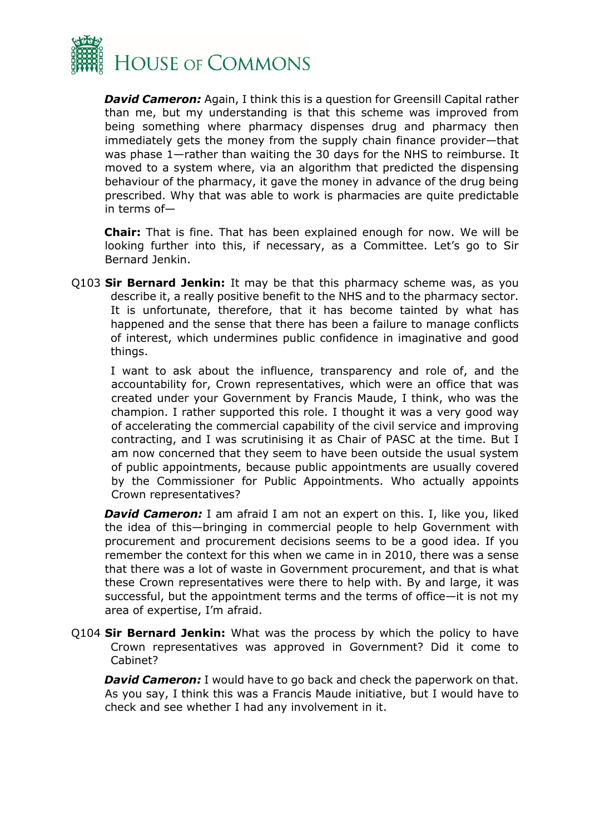

*David Cameron:* Again, I think this is a question for Greensill Capital rather than me, but my understanding is that this scheme was improved from being something where pharmacy dispenses drug and pharmacy then immediately gets the money from the supply chain finance provider—that was phase 1—rather than waiting the 30 days for the NHS to reimburse. It moved to a system where, via an algorithm that predicted the dispensing behaviour of the pharmacy, it gave the money in advance of the drug being prescribed. Why that was able to work is pharmacies are quite predictable in terms of—

**Chair:** That is fine. That has been explained enough for now. We will be looking further into this, if necessary, as a Committee. Let's go to Sir Bernard Jenkin.

Q103 **Sir Bernard Jenkin:** It may be that this pharmacy scheme was, as you describe it, a really positive benefit to the NHS and to the pharmacy sector. It is unfortunate, therefore, that it has become tainted by what has happened and the sense that there has been a failure to manage conflicts of interest, which undermines public confidence in imaginative and good things.

I want to ask about the influence, transparency and role of, and the accountability for, Crown representatives, which were an office that was created under your Government by Francis Maude, I think, who was the champion. I rather supported this role. I thought it was a very good way of accelerating the commercial capability of the civil service and improving contracting, and I was scrutinising it as Chair of PASC at the time. But I am now concerned that they seem to have been outside the usual system of public appointments, because public appointments are usually covered by the Commissioner for Public Appointments. Who actually appoints Crown representatives?

**David Cameron:** I am afraid I am not an expert on this. I, like you, liked the idea of this—bringing in commercial people to help Government with procurement and procurement decisions seems to be a good idea. If you remember the context for this when we came in in 2010, there was a sense that there was a lot of waste in Government procurement, and that is what these Crown representatives were there to help with. By and large, it was successful, but the appointment terms and the terms of office—it is not my area of expertise, I'm afraid.

Q104 **Sir Bernard Jenkin:** What was the process by which the policy to have Crown representatives was approved in Government? Did it come to Cabinet?

**David Cameron:** I would have to go back and check the paperwork on that. As you say, I think this was a Francis Maude initiative, but I would have to check and see whether I had any involvement in it.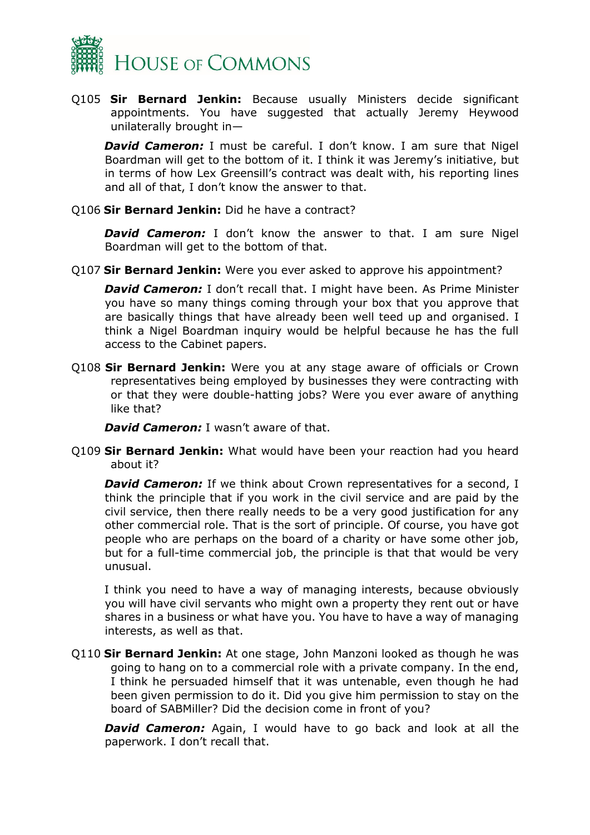

Q105 **Sir Bernard Jenkin:** Because usually Ministers decide significant appointments. You have suggested that actually Jeremy Heywood unilaterally brought in—

**David Cameron:** I must be careful. I don't know. I am sure that Nigel Boardman will get to the bottom of it. I think it was Jeremy's initiative, but in terms of how Lex Greensill's contract was dealt with, his reporting lines and all of that, I don't know the answer to that.

#### Q106 **Sir Bernard Jenkin:** Did he have a contract?

**David Cameron:** I don't know the answer to that. I am sure Nigel Boardman will get to the bottom of that.

Q107 **Sir Bernard Jenkin:** Were you ever asked to approve his appointment?

*David Cameron:* I don't recall that. I might have been. As Prime Minister you have so many things coming through your box that you approve that are basically things that have already been well teed up and organised. I think a Nigel Boardman inquiry would be helpful because he has the full access to the Cabinet papers.

Q108 **Sir Bernard Jenkin:** Were you at any stage aware of officials or Crown representatives being employed by businesses they were contracting with or that they were double-hatting jobs? Were you ever aware of anything like that?

**David Cameron:** I wasn't aware of that.

Q109 **Sir Bernard Jenkin:** What would have been your reaction had you heard about it?

*David Cameron:* If we think about Crown representatives for a second, I think the principle that if you work in the civil service and are paid by the civil service, then there really needs to be a very good justification for any other commercial role. That is the sort of principle. Of course, you have got people who are perhaps on the board of a charity or have some other job, but for a full-time commercial job, the principle is that that would be very unusual.

I think you need to have a way of managing interests, because obviously you will have civil servants who might own a property they rent out or have shares in a business or what have you. You have to have a way of managing interests, as well as that.

Q110 **Sir Bernard Jenkin:** At one stage, John Manzoni looked as though he was going to hang on to a commercial role with a private company. In the end, I think he persuaded himself that it was untenable, even though he had been given permission to do it. Did you give him permission to stay on the board of SABMiller? Did the decision come in front of you?

**David Cameron:** Again, I would have to go back and look at all the paperwork. I don't recall that.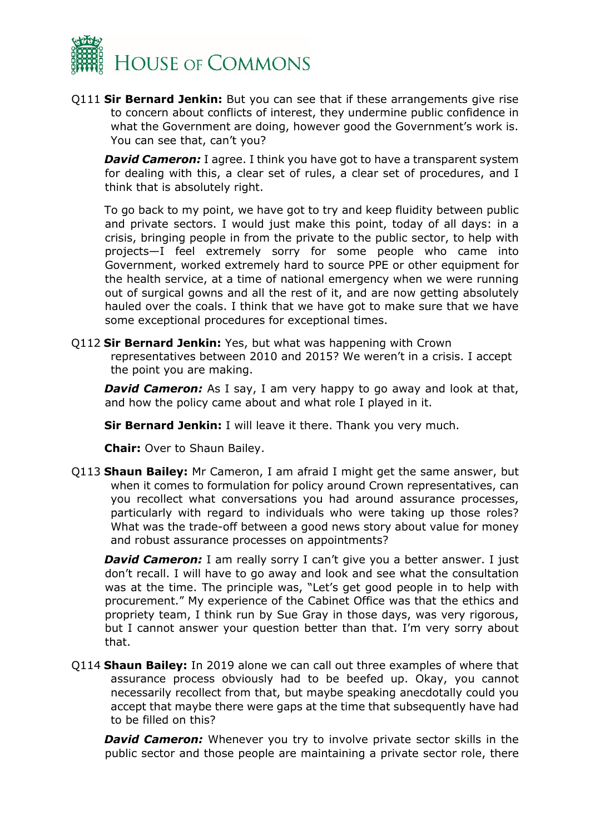

Q111 **Sir Bernard Jenkin:** But you can see that if these arrangements give rise to concern about conflicts of interest, they undermine public confidence in what the Government are doing, however good the Government's work is. You can see that, can't you?

**David Cameron:** I agree. I think you have got to have a transparent system for dealing with this, a clear set of rules, a clear set of procedures, and I think that is absolutely right.

To go back to my point, we have got to try and keep fluidity between public and private sectors. I would just make this point, today of all days: in a crisis, bringing people in from the private to the public sector, to help with projects—I feel extremely sorry for some people who came into Government, worked extremely hard to source PPE or other equipment for the health service, at a time of national emergency when we were running out of surgical gowns and all the rest of it, and are now getting absolutely hauled over the coals. I think that we have got to make sure that we have some exceptional procedures for exceptional times.

Q112 **Sir Bernard Jenkin:** Yes, but what was happening with Crown representatives between 2010 and 2015? We weren't in a crisis. I accept the point you are making.

**David Cameron:** As I say, I am very happy to go away and look at that, and how the policy came about and what role I played in it.

**Sir Bernard Jenkin:** I will leave it there. Thank you very much.

**Chair:** Over to Shaun Bailey.

Q113 **Shaun Bailey:** Mr Cameron, I am afraid I might get the same answer, but when it comes to formulation for policy around Crown representatives, can you recollect what conversations you had around assurance processes, particularly with regard to individuals who were taking up those roles? What was the trade-off between a good news story about value for money and robust assurance processes on appointments?

**David Cameron:** I am really sorry I can't give you a better answer. I just don't recall. I will have to go away and look and see what the consultation was at the time. The principle was, "Let's get good people in to help with procurement." My experience of the Cabinet Office was that the ethics and propriety team, I think run by Sue Gray in those days, was very rigorous, but I cannot answer your question better than that. I'm very sorry about that.

Q114 **Shaun Bailey:** In 2019 alone we can call out three examples of where that assurance process obviously had to be beefed up. Okay, you cannot necessarily recollect from that, but maybe speaking anecdotally could you accept that maybe there were gaps at the time that subsequently have had to be filled on this?

**David Cameron:** Whenever you try to involve private sector skills in the public sector and those people are maintaining a private sector role, there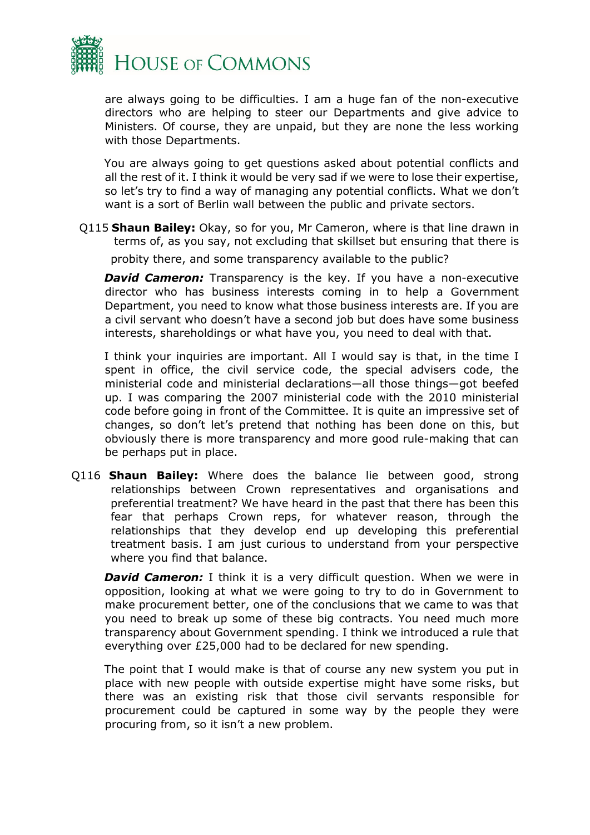

are always going to be difficulties. I am a huge fan of the non-executive directors who are helping to steer our Departments and give advice to Ministers. Of course, they are unpaid, but they are none the less working with those Departments.

You are always going to get questions asked about potential conflicts and all the rest of it. I think it would be very sad if we were to lose their expertise, so let's try to find a way of managing any potential conflicts. What we don't want is a sort of Berlin wall between the public and private sectors.

Q115 **Shaun Bailey:** Okay, so for you, Mr Cameron, where is that line drawn in terms of, as you say, not excluding that skillset but ensuring that there is probity there, and some transparency available to the public?

**David Cameron:** Transparency is the key. If you have a non-executive director who has business interests coming in to help a Government Department, you need to know what those business interests are. If you are a civil servant who doesn't have a second job but does have some business interests, shareholdings or what have you, you need to deal with that.

I think your inquiries are important. All I would say is that, in the time I spent in office, the civil service code, the special advisers code, the ministerial code and ministerial declarations—all those things—got beefed up. I was comparing the 2007 ministerial code with the 2010 ministerial code before going in front of the Committee. It is quite an impressive set of changes, so don't let's pretend that nothing has been done on this, but obviously there is more transparency and more good rule-making that can be perhaps put in place.

Q116 **Shaun Bailey:** Where does the balance lie between good, strong relationships between Crown representatives and organisations and preferential treatment? We have heard in the past that there has been this fear that perhaps Crown reps, for whatever reason, through the relationships that they develop end up developing this preferential treatment basis. I am just curious to understand from your perspective where you find that balance.

**David Cameron:** I think it is a very difficult question. When we were in opposition, looking at what we were going to try to do in Government to make procurement better, one of the conclusions that we came to was that you need to break up some of these big contracts. You need much more transparency about Government spending. I think we introduced a rule that everything over £25,000 had to be declared for new spending.

The point that I would make is that of course any new system you put in place with new people with outside expertise might have some risks, but there was an existing risk that those civil servants responsible for procurement could be captured in some way by the people they were procuring from, so it isn't a new problem.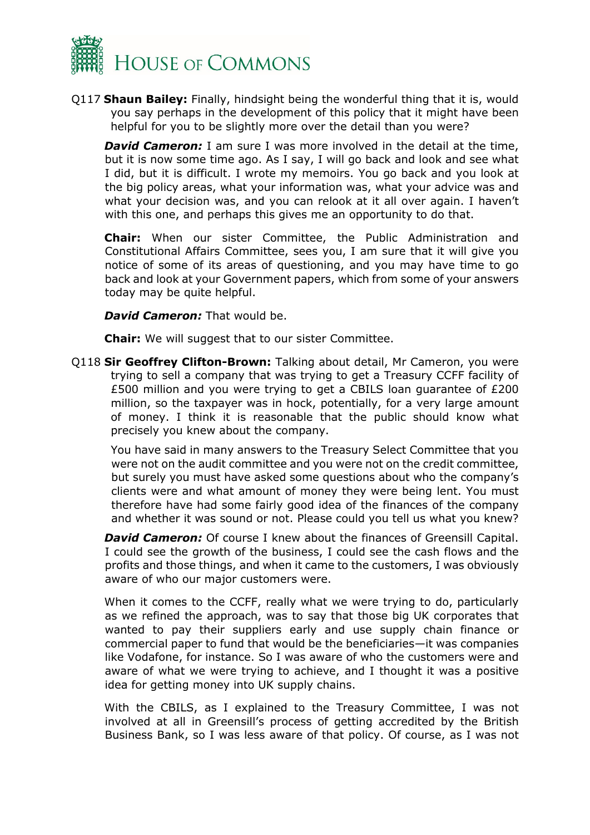

Q117 **Shaun Bailey:** Finally, hindsight being the wonderful thing that it is, would you say perhaps in the development of this policy that it might have been helpful for you to be slightly more over the detail than you were?

**David Cameron:** I am sure I was more involved in the detail at the time, but it is now some time ago. As I say, I will go back and look and see what I did, but it is difficult. I wrote my memoirs. You go back and you look at the big policy areas, what your information was, what your advice was and what your decision was, and you can relook at it all over again. I haven't with this one, and perhaps this gives me an opportunity to do that.

**Chair:** When our sister Committee, the Public Administration and Constitutional Affairs Committee, sees you, I am sure that it will give you notice of some of its areas of questioning, and you may have time to go back and look at your Government papers, which from some of your answers today may be quite helpful.

*David Cameron:* That would be.

**Chair:** We will suggest that to our sister Committee.

Q118 **Sir Geoffrey Clifton-Brown:** Talking about detail, Mr Cameron, you were trying to sell a company that was trying to get a Treasury CCFF facility of £500 million and you were trying to get a CBILS loan guarantee of £200 million, so the taxpayer was in hock, potentially, for a very large amount of money. I think it is reasonable that the public should know what precisely you knew about the company.

You have said in many answers to the Treasury Select Committee that you were not on the audit committee and you were not on the credit committee, but surely you must have asked some questions about who the company's clients were and what amount of money they were being lent. You must therefore have had some fairly good idea of the finances of the company and whether it was sound or not. Please could you tell us what you knew?

**David Cameron:** Of course I knew about the finances of Greensill Capital. I could see the growth of the business, I could see the cash flows and the profits and those things, and when it came to the customers, I was obviously aware of who our major customers were.

When it comes to the CCFF, really what we were trying to do, particularly as we refined the approach, was to say that those big UK corporates that wanted to pay their suppliers early and use supply chain finance or commercial paper to fund that would be the beneficiaries—it was companies like Vodafone, for instance. So I was aware of who the customers were and aware of what we were trying to achieve, and I thought it was a positive idea for getting money into UK supply chains.

With the CBILS, as I explained to the Treasury Committee, I was not involved at all in Greensill's process of getting accredited by the British Business Bank, so I was less aware of that policy. Of course, as I was not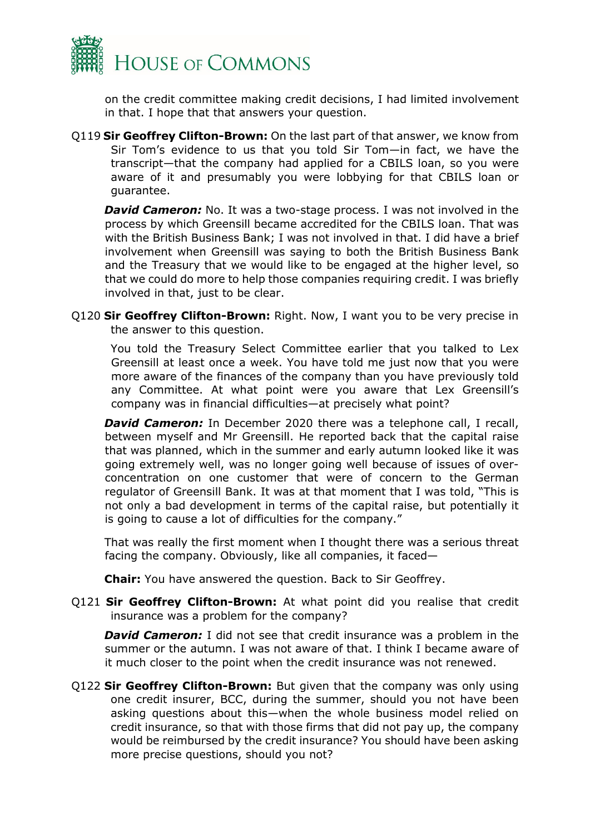

on the credit committee making credit decisions, I had limited involvement in that. I hope that that answers your question.

Q119 **Sir Geoffrey Clifton-Brown:** On the last part of that answer, we know from Sir Tom's evidence to us that you told Sir Tom—in fact, we have the transcript—that the company had applied for a CBILS loan, so you were aware of it and presumably you were lobbying for that CBILS loan or guarantee.

**David Cameron:** No. It was a two-stage process. I was not involved in the process by which Greensill became accredited for the CBILS loan. That was with the British Business Bank; I was not involved in that. I did have a brief involvement when Greensill was saying to both the British Business Bank and the Treasury that we would like to be engaged at the higher level, so that we could do more to help those companies requiring credit. I was briefly involved in that, just to be clear.

Q120 **Sir Geoffrey Clifton-Brown:** Right. Now, I want you to be very precise in the answer to this question.

You told the Treasury Select Committee earlier that you talked to Lex Greensill at least once a week. You have told me just now that you were more aware of the finances of the company than you have previously told any Committee. At what point were you aware that Lex Greensill's company was in financial difficulties—at precisely what point?

**David Cameron:** In December 2020 there was a telephone call, I recall, between myself and Mr Greensill. He reported back that the capital raise that was planned, which in the summer and early autumn looked like it was going extremely well, was no longer going well because of issues of overconcentration on one customer that were of concern to the German regulator of Greensill Bank. It was at that moment that I was told, "This is not only a bad development in terms of the capital raise, but potentially it is going to cause a lot of difficulties for the company."

That was really the first moment when I thought there was a serious threat facing the company. Obviously, like all companies, it faced—

**Chair:** You have answered the question. Back to Sir Geoffrey.

Q121 **Sir Geoffrey Clifton-Brown:** At what point did you realise that credit insurance was a problem for the company?

*David Cameron:* I did not see that credit insurance was a problem in the summer or the autumn. I was not aware of that. I think I became aware of it much closer to the point when the credit insurance was not renewed.

Q122 **Sir Geoffrey Clifton-Brown:** But given that the company was only using one credit insurer, BCC, during the summer, should you not have been asking questions about this—when the whole business model relied on credit insurance, so that with those firms that did not pay up, the company would be reimbursed by the credit insurance? You should have been asking more precise questions, should you not?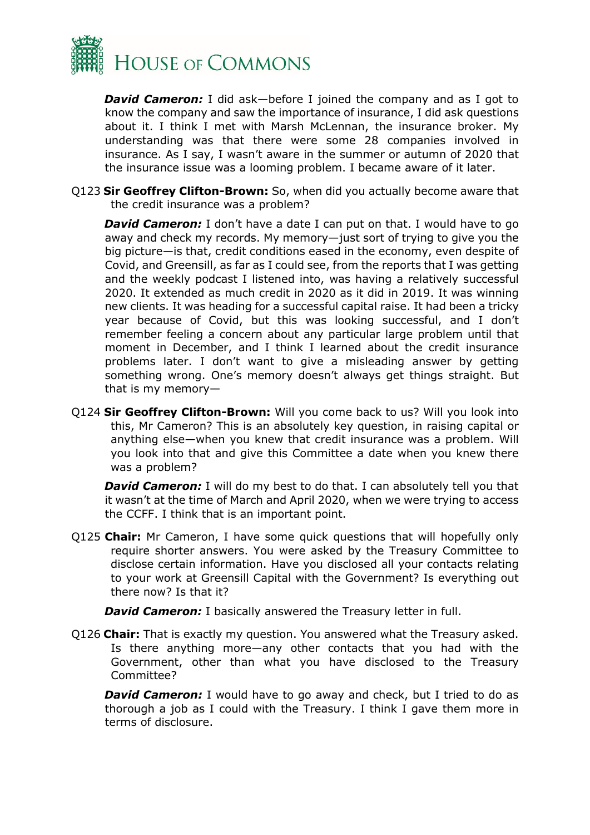

*David Cameron:* I did ask—before I joined the company and as I got to know the company and saw the importance of insurance, I did ask questions about it. I think I met with Marsh McLennan, the insurance broker. My understanding was that there were some 28 companies involved in insurance. As I say, I wasn't aware in the summer or autumn of 2020 that the insurance issue was a looming problem. I became aware of it later.

Q123 **Sir Geoffrey Clifton-Brown:** So, when did you actually become aware that the credit insurance was a problem?

**David Cameron:** I don't have a date I can put on that. I would have to go away and check my records. My memory—just sort of trying to give you the big picture—is that, credit conditions eased in the economy, even despite of Covid, and Greensill, as far as I could see, from the reports that I was getting and the weekly podcast I listened into, was having a relatively successful 2020. It extended as much credit in 2020 as it did in 2019. It was winning new clients. It was heading for a successful capital raise. It had been a tricky year because of Covid, but this was looking successful, and I don't remember feeling a concern about any particular large problem until that moment in December, and I think I learned about the credit insurance problems later. I don't want to give a misleading answer by getting something wrong. One's memory doesn't always get things straight. But that is my memory—

Q124 **Sir Geoffrey Clifton-Brown:** Will you come back to us? Will you look into this, Mr Cameron? This is an absolutely key question, in raising capital or anything else—when you knew that credit insurance was a problem. Will you look into that and give this Committee a date when you knew there was a problem?

**David Cameron:** I will do my best to do that. I can absolutely tell you that it wasn't at the time of March and April 2020, when we were trying to access the CCFF. I think that is an important point.

Q125 **Chair:** Mr Cameron, I have some quick questions that will hopefully only require shorter answers. You were asked by the Treasury Committee to disclose certain information. Have you disclosed all your contacts relating to your work at Greensill Capital with the Government? Is everything out there now? Is that it?

**David Cameron:** I basically answered the Treasury letter in full.

Q126 **Chair:** That is exactly my question. You answered what the Treasury asked. Is there anything more—any other contacts that you had with the Government, other than what you have disclosed to the Treasury Committee?

**David Cameron:** I would have to go away and check, but I tried to do as thorough a job as I could with the Treasury. I think I gave them more in terms of disclosure.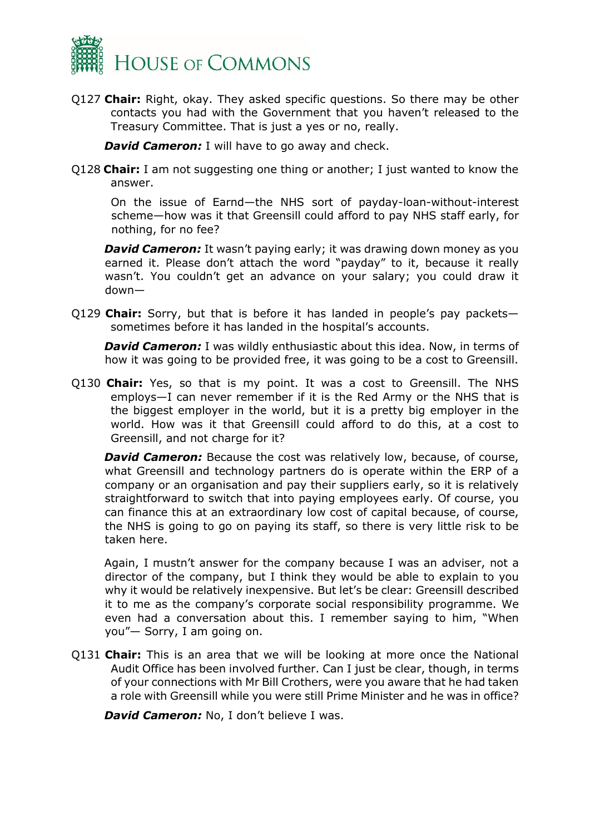

Q127 **Chair:** Right, okay. They asked specific questions. So there may be other contacts you had with the Government that you haven't released to the Treasury Committee. That is just a yes or no, really.

**David Cameron:** I will have to go away and check.

Q128 **Chair:** I am not suggesting one thing or another; I just wanted to know the answer.

On the issue of Earnd—the NHS sort of payday-loan-without-interest scheme—how was it that Greensill could afford to pay NHS staff early, for nothing, for no fee?

**David Cameron:** It wasn't paying early; it was drawing down money as you earned it. Please don't attach the word "payday" to it, because it really wasn't. You couldn't get an advance on your salary; you could draw it down—

Q129 **Chair:** Sorry, but that is before it has landed in people's pay packets sometimes before it has landed in the hospital's accounts.

*David Cameron:* I was wildly enthusiastic about this idea. Now, in terms of how it was going to be provided free, it was going to be a cost to Greensill.

Q130 **Chair:** Yes, so that is my point. It was a cost to Greensill. The NHS employs—I can never remember if it is the Red Army or the NHS that is the biggest employer in the world, but it is a pretty big employer in the world. How was it that Greensill could afford to do this, at a cost to Greensill, and not charge for it?

**David Cameron:** Because the cost was relatively low, because, of course, what Greensill and technology partners do is operate within the ERP of a company or an organisation and pay their suppliers early, so it is relatively straightforward to switch that into paying employees early. Of course, you can finance this at an extraordinary low cost of capital because, of course, the NHS is going to go on paying its staff, so there is very little risk to be taken here.

Again, I mustn't answer for the company because I was an adviser, not a director of the company, but I think they would be able to explain to you why it would be relatively inexpensive. But let's be clear: Greensill described it to me as the company's corporate social responsibility programme. We even had a conversation about this. I remember saying to him, "When you"— Sorry, I am going on.

Q131 **Chair:** This is an area that we will be looking at more once the National Audit Office has been involved further. Can I just be clear, though, in terms of your connections with Mr Bill Crothers, were you aware that he had taken a role with Greensill while you were still Prime Minister and he was in office?

**David Cameron:** No, I don't believe I was.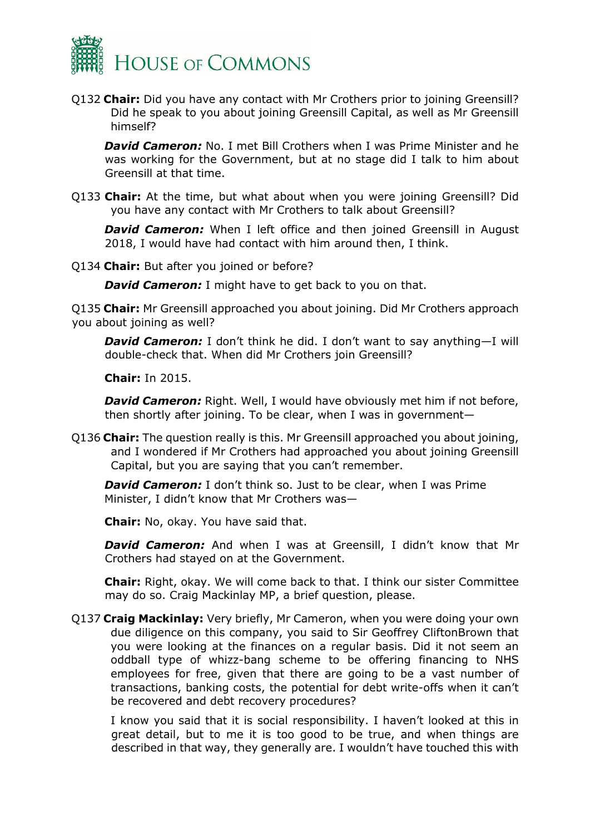

Q132 **Chair:** Did you have any contact with Mr Crothers prior to joining Greensill? Did he speak to you about joining Greensill Capital, as well as Mr Greensill himself?

**David Cameron:** No. I met Bill Crothers when I was Prime Minister and he was working for the Government, but at no stage did I talk to him about Greensill at that time.

Q133 **Chair:** At the time, but what about when you were joining Greensill? Did you have any contact with Mr Crothers to talk about Greensill?

**David Cameron:** When I left office and then joined Greensill in August 2018, I would have had contact with him around then, I think.

Q134 **Chair:** But after you joined or before?

**David Cameron:** I might have to get back to you on that.

Q135 **Chair:** Mr Greensill approached you about joining. Did Mr Crothers approach you about joining as well?

*David Cameron:* I don't think he did. I don't want to say anything—I will double-check that. When did Mr Crothers join Greensill?

**Chair:** In 2015.

**David Cameron:** Right. Well, I would have obviously met him if not before, then shortly after joining. To be clear, when I was in government—

Q136 **Chair:** The question really is this. Mr Greensill approached you about joining, and I wondered if Mr Crothers had approached you about joining Greensill Capital, but you are saying that you can't remember.

**David Cameron:** I don't think so. Just to be clear, when I was Prime Minister, I didn't know that Mr Crothers was—

**Chair:** No, okay. You have said that.

*David Cameron:* And when I was at Greensill, I didn't know that Mr Crothers had stayed on at the Government.

**Chair:** Right, okay. We will come back to that. I think our sister Committee may do so. Craig Mackinlay MP, a brief question, please.

Q137 **Craig Mackinlay:** Very briefly, Mr Cameron, when you were doing your own due diligence on this company, you said to Sir Geoffrey CliftonBrown that you were looking at the finances on a regular basis. Did it not seem an oddball type of whizz-bang scheme to be offering financing to NHS employees for free, given that there are going to be a vast number of transactions, banking costs, the potential for debt write-offs when it can't be recovered and debt recovery procedures?

I know you said that it is social responsibility. I haven't looked at this in great detail, but to me it is too good to be true, and when things are described in that way, they generally are. I wouldn't have touched this with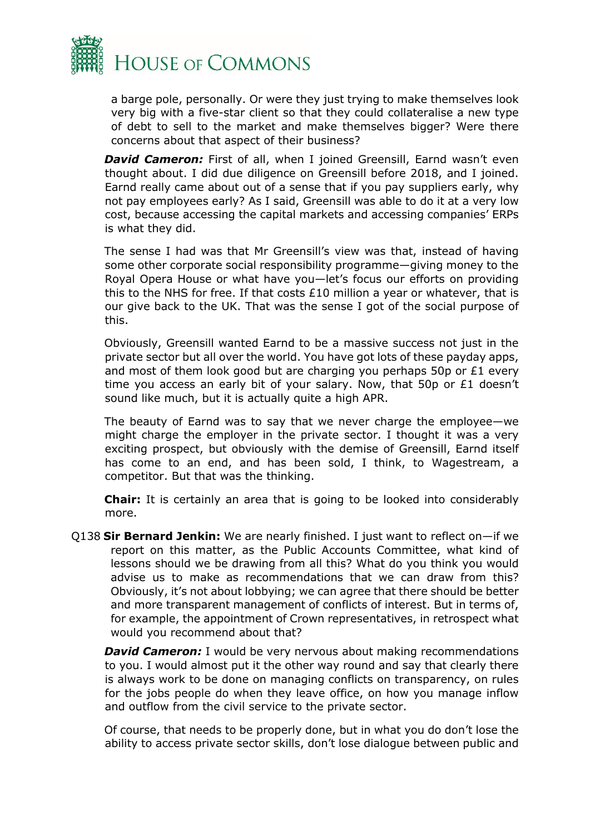

a barge pole, personally. Or were they just trying to make themselves look very big with a five-star client so that they could collateralise a new type of debt to sell to the market and make themselves bigger? Were there concerns about that aspect of their business?

**David Cameron:** First of all, when I joined Greensill, Earnd wasn't even thought about. I did due diligence on Greensill before 2018, and I joined. Earnd really came about out of a sense that if you pay suppliers early, why not pay employees early? As I said, Greensill was able to do it at a very low cost, because accessing the capital markets and accessing companies' ERPs is what they did.

The sense I had was that Mr Greensill's view was that, instead of having some other corporate social responsibility programme—giving money to the Royal Opera House or what have you—let's focus our efforts on providing this to the NHS for free. If that costs £10 million a year or whatever, that is our give back to the UK. That was the sense I got of the social purpose of this.

Obviously, Greensill wanted Earnd to be a massive success not just in the private sector but all over the world. You have got lots of these payday apps, and most of them look good but are charging you perhaps 50p or £1 every time you access an early bit of your salary. Now, that 50p or £1 doesn't sound like much, but it is actually quite a high APR.

The beauty of Earnd was to say that we never charge the employee—we might charge the employer in the private sector. I thought it was a very exciting prospect, but obviously with the demise of Greensill, Earnd itself has come to an end, and has been sold, I think, to Wagestream, a competitor. But that was the thinking.

**Chair:** It is certainly an area that is going to be looked into considerably more.

Q138 **Sir Bernard Jenkin:** We are nearly finished. I just want to reflect on—if we report on this matter, as the Public Accounts Committee, what kind of lessons should we be drawing from all this? What do you think you would advise us to make as recommendations that we can draw from this? Obviously, it's not about lobbying; we can agree that there should be better and more transparent management of conflicts of interest. But in terms of, for example, the appointment of Crown representatives, in retrospect what would you recommend about that?

**David Cameron:** I would be very nervous about making recommendations to you. I would almost put it the other way round and say that clearly there is always work to be done on managing conflicts on transparency, on rules for the jobs people do when they leave office, on how you manage inflow and outflow from the civil service to the private sector.

Of course, that needs to be properly done, but in what you do don't lose the ability to access private sector skills, don't lose dialogue between public and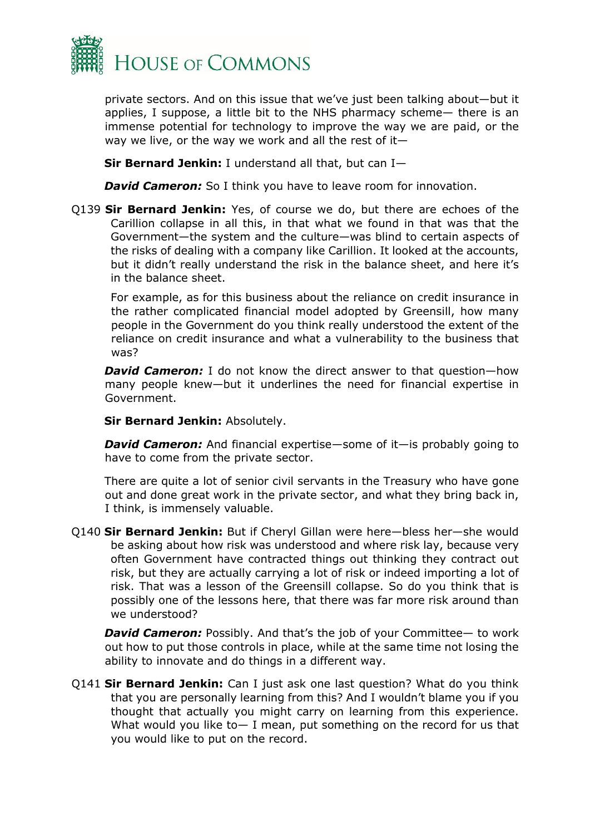

private sectors. And on this issue that we've just been talking about—but it applies, I suppose, a little bit to the NHS pharmacy scheme— there is an immense potential for technology to improve the way we are paid, or the way we live, or the way we work and all the rest of it—

**Sir Bernard Jenkin:** I understand all that, but can I—

*David Cameron:* So I think you have to leave room for innovation.

Q139 **Sir Bernard Jenkin:** Yes, of course we do, but there are echoes of the Carillion collapse in all this, in that what we found in that was that the Government—the system and the culture—was blind to certain aspects of the risks of dealing with a company like Carillion. It looked at the accounts, but it didn't really understand the risk in the balance sheet, and here it's in the balance sheet.

For example, as for this business about the reliance on credit insurance in the rather complicated financial model adopted by Greensill, how many people in the Government do you think really understood the extent of the reliance on credit insurance and what a vulnerability to the business that was?

**David Cameron:** I do not know the direct answer to that question—how many people knew—but it underlines the need for financial expertise in Government.

**Sir Bernard Jenkin:** Absolutely.

*David Cameron:* And financial expertise—some of it—is probably going to have to come from the private sector.

There are quite a lot of senior civil servants in the Treasury who have gone out and done great work in the private sector, and what they bring back in, I think, is immensely valuable.

Q140 **Sir Bernard Jenkin:** But if Cheryl Gillan were here—bless her—she would be asking about how risk was understood and where risk lay, because very often Government have contracted things out thinking they contract out risk, but they are actually carrying a lot of risk or indeed importing a lot of risk. That was a lesson of the Greensill collapse. So do you think that is possibly one of the lessons here, that there was far more risk around than we understood?

**David Cameron:** Possibly. And that's the job of your Committee— to work out how to put those controls in place, while at the same time not losing the ability to innovate and do things in a different way.

Q141 **Sir Bernard Jenkin:** Can I just ask one last question? What do you think that you are personally learning from this? And I wouldn't blame you if you thought that actually you might carry on learning from this experience. What would you like to— I mean, put something on the record for us that you would like to put on the record.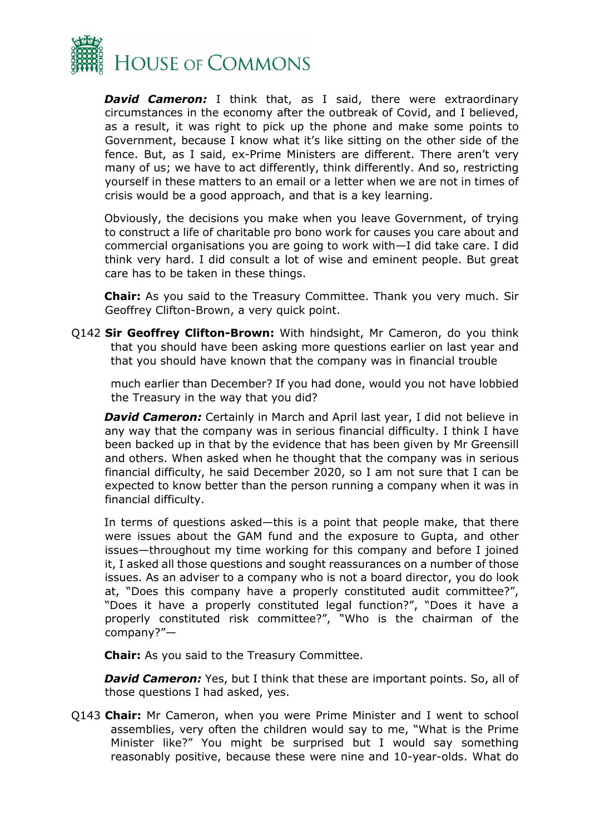

*David Cameron:* I think that, as I said, there were extraordinary circumstances in the economy after the outbreak of Covid, and I believed, as a result, it was right to pick up the phone and make some points to Government, because I know what it's like sitting on the other side of the fence. But, as I said, ex-Prime Ministers are different. There aren't very many of us; we have to act differently, think differently. And so, restricting yourself in these matters to an email or a letter when we are not in times of crisis would be a good approach, and that is a key learning.

Obviously, the decisions you make when you leave Government, of trying to construct a life of charitable pro bono work for causes you care about and commercial organisations you are going to work with—I did take care. I did think very hard. I did consult a lot of wise and eminent people. But great care has to be taken in these things.

**Chair:** As you said to the Treasury Committee. Thank you very much. Sir Geoffrey Clifton-Brown, a very quick point.

Q142 **Sir Geoffrey Clifton-Brown:** With hindsight, Mr Cameron, do you think that you should have been asking more questions earlier on last year and that you should have known that the company was in financial trouble

much earlier than December? If you had done, would you not have lobbied the Treasury in the way that you did?

**David Cameron:** Certainly in March and April last year, I did not believe in any way that the company was in serious financial difficulty. I think I have been backed up in that by the evidence that has been given by Mr Greensill and others. When asked when he thought that the company was in serious financial difficulty, he said December 2020, so I am not sure that I can be expected to know better than the person running a company when it was in financial difficulty.

In terms of questions asked—this is a point that people make, that there were issues about the GAM fund and the exposure to Gupta, and other issues—throughout my time working for this company and before I joined it, I asked all those questions and sought reassurances on a number of those issues. As an adviser to a company who is not a board director, you do look at, "Does this company have a properly constituted audit committee?", "Does it have a properly constituted legal function?", "Does it have a properly constituted risk committee?", "Who is the chairman of the company?"—

**Chair:** As you said to the Treasury Committee.

*David Cameron:* Yes, but I think that these are important points. So, all of those questions I had asked, yes.

Q143 **Chair:** Mr Cameron, when you were Prime Minister and I went to school assemblies, very often the children would say to me, "What is the Prime Minister like?" You might be surprised but I would say something reasonably positive, because these were nine and 10-year-olds. What do